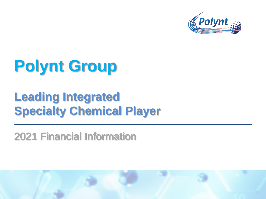

# **Polynt Group**

# **Leading Integrated Specialty Chemical Player**

2021 Financial Information

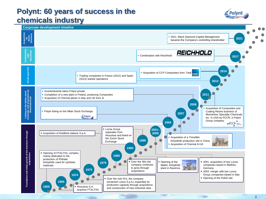## **Polynt: 60 years of success in the chemicals industry**



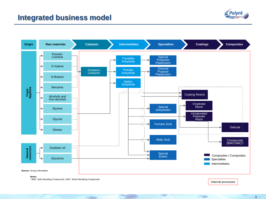### **Integrated business model**





<sup>1</sup> BMC: Bulk Moulding Compounds; SMC: Sheet Moulding Compounds

Internal processes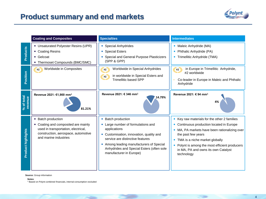

|                       | <b>Coating and Composites</b>                                                                                                                                    | <b>Specialties</b>                                                                                                                                                                                                                                                              | <b>Intermediates</b>                                                                                                                                                                                                                                                                                  |  |
|-----------------------|------------------------------------------------------------------------------------------------------------------------------------------------------------------|---------------------------------------------------------------------------------------------------------------------------------------------------------------------------------------------------------------------------------------------------------------------------------|-------------------------------------------------------------------------------------------------------------------------------------------------------------------------------------------------------------------------------------------------------------------------------------------------------|--|
| <b>Products</b>       | • Unsaturated Polyester Resins (UPR)<br>• Coating Resins<br>• Gelcoat<br>• Thermoset Compounds (BMC/SMC)                                                         | • Special Anhydrides<br>• Special Esters<br>Special and General Purpose Plasticizers<br>(SPP & GPP)                                                                                                                                                                             | • Maleic Anhydride (MA)<br>Phthalic Anhydride (PA)<br>• Trimellitic Anhydride (TMA)                                                                                                                                                                                                                   |  |
| Position              | Worldwide in Composites                                                                                                                                          | Worldwide in Special Anhydrides<br>#1<br>in worldwide in Special Esters and<br>#1<br><b>Trimellitic based SPP</b>                                                                                                                                                               | in Europe in Trimellitic Anhydride,<br>$+1$<br>#2 worldwide<br>Co-leader in Europe in Maleic and Phthalic<br>Anhydride                                                                                                                                                                                |  |
| % of total<br>revenue | Revenue 2021: €1,900 mm <sup>1</sup><br>81.21%                                                                                                                   | Revenue 2021: € 346 mm <sup>1</sup><br>14.79%                                                                                                                                                                                                                                   | Revenue 2021: € 94 mm <sup>1</sup>                                                                                                                                                                                                                                                                    |  |
| Product highlights    | • Batch production<br>• Coating and composited are mainly<br>used in transportation, electrical,<br>construction, aerospace, automotive<br>and marine industries | <b>Batch production</b><br>Large number of formulations and<br>applications<br>• Customisation, innovation, quality and<br>service are distinctive features<br>• Among leading manufacturers of Special<br>Anhydrides and Special Esters (often sole<br>manufacturer in Europe) | • Key raw materials for the other 2 families<br>Continuous production located in Europe<br>MA, PA markets have been rationalizing over<br>the past few years<br>TMA is a niche market globally<br>• Polynt is among the most efficient producers<br>in MA, PA and owns its own Catalyst<br>technology |  |

**Source:** Group information

**Notes**:

<sup>1</sup> Based on Polynt combined financials, internal consumption excluded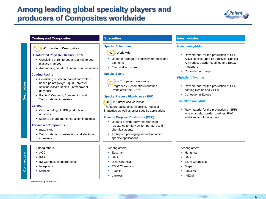## **Among leading global specialty players and producers of Composites worldwide**



#### **Coating and Composites <b>Specialties Specialties Specialties Intermediates**

#### *#1* **Worldwide in Composites**

#### **Unsaturated Polyester Resins (UPR)**

- Consisting of reinforced and unreinforced plastics matrices
- Automotive, construction and wind industries

#### **Coating Resins**

- Consisting of solvent-based and waterbased paints (Alkyd, liquid Polyester, solution Acrylic Resins, Latex/powder polymer)
- Paints & Coatings, Construction and Transportation industries

#### **Gelcoat**

**Description**

**Competitors**

- Compounding of UPR products and additives
- Marine, leisure and construction industries

#### **Thermoset Compounds**

- BMC/SMC
- Transportation, construction and electrical industries

#### Among others

- $\bullet$  AOC
- INEOS
- IDI Composites International
- Interplastic
- Menzolit

**Source:** Group information

#### **Special Anhydrides**



- Used for a range of specialty materials and pigments
- Electrical industries

#### **Special Esters**

- **#1** in Europe and worldwide
- Fragrances & cosmetics industries, Phthalates free SPPs

#### **Special Purpose Plasticizers (SPP)**



Transport, packaging, oil drilling, medical industries as well as other specific applications

#### **General Purpose Plasticizers (GPP)**

- Used to provide polymers with high resistance to high/low temperature and chemical agents
- Transport, packaging, as well as other specific applications

#### Among others

- Fastman
- BASF
- **•** Dixie Chemical
- ESIM Chemicals
- Evonik
- Lanxess

#### **Maleic Anhydride**

- Raw material for the production of UPR. Alkyd Resins, Lube oil additives, Special Anhydride, powder coatings and Epoxy hardeners
- Co-leader in Europe

#### **Phthalic Anhydride**

- Raw material for the production of UPR, coating Resins and GPPs
- Co-leader in Europe

#### **Trimellitic Anhydride**

• Raw material for the production of SPPs, wire enamels, powder coatings, PVC additives and lubricant oils

#### Among others

- Huntsman
- BASF
- ESIM Chemicals

- Stepan
- Lanxess
- INEOS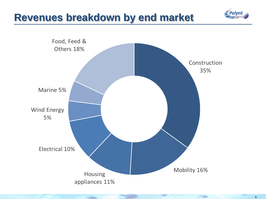

## **Revenues breakdown by end market**

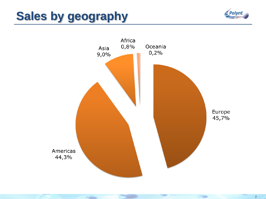# **Sales by geography**

**The Contract of Contract of The Contract of The Contract of The Contract of The Contract of The Contract of The Contract of The Contract of The Contract of The Contract of The Contract of The Contract of The Contract of T** 



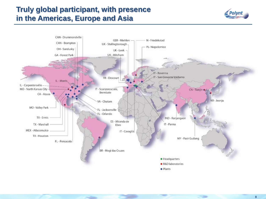## **Truly global participant, with presence in the Americas, Europe and Asia**



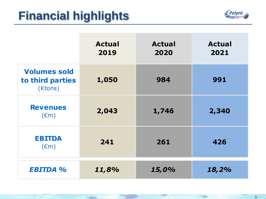# **Financial highlights**

**COMPANY** 



|                                                    | <b>Actual</b><br>2019 | <b>Actual</b><br>2020 | <b>Actual</b><br>2021 |
|----------------------------------------------------|-----------------------|-----------------------|-----------------------|
| <b>Volumes sold</b><br>to third parties<br>(Ktons) | 1,050                 | 984                   | 991                   |
| <b>Revenues</b><br>$(\epsilon m)$                  | 2,043                 | 1,746                 | 2,340                 |
| <b>EBITDA</b><br>$(\epsilon m)$                    | 241                   | 261                   | 426                   |
| <b>EBITDA %</b>                                    | 11,8%                 | 15,0%                 | 18,2%                 |

59